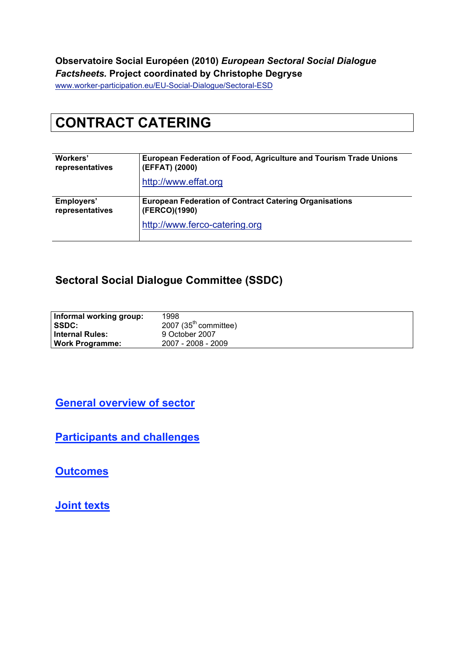### **Observatoire Social Européen (2010)** *European Sectoral Social Dialogue Factsheets.* **Project coordinated by Christophe Degryse**

www.worker-participation.eu/EU-Social-Dialogue/Sectoral-ESD

# **CONTRACT CATERING**

| Workers'        | European Federation of Food, Agriculture and Tourism Trade Unions |  |  |
|-----------------|-------------------------------------------------------------------|--|--|
| representatives | (EFFAT) (2000)                                                    |  |  |
|                 | http://www.effat.org                                              |  |  |
| Employers'      | <b>European Federation of Contract Catering Organisations</b>     |  |  |
| representatives | (FERCO)(1990)                                                     |  |  |
|                 | http://www.ferco-catering.org                                     |  |  |

### **Sectoral Social Dialogue Committee (SSDC)**

| Informal working group: | 1998                    |
|-------------------------|-------------------------|
| <b>SSDC:</b>            | 2007 $(35th$ committee) |
| ∣ Internal Rules:       | 9 October 2007          |
| Work Programme: l       | 2007 - 2008 - 2009      |

**General overview of sector**

**Participants and challenges**

**Outcomes**

**Joint texts**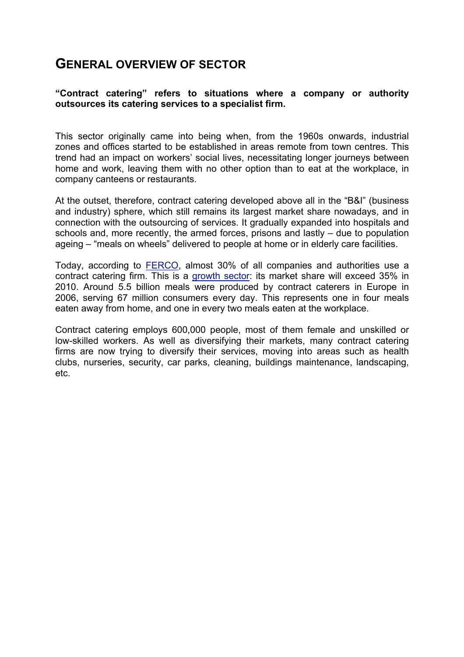### **GENERAL OVERVIEW OF SECTOR**

#### **"Contract catering" refers to situations where a company or authority outsources its catering services to a specialist firm.**

This sector originally came into being when, from the 1960s onwards, industrial zones and offices started to be established in areas remote from town centres. This trend had an impact on workers' social lives, necessitating longer journeys between home and work, leaving them with no other option than to eat at the workplace, in company canteens or restaurants.

At the outset, therefore, contract catering developed above all in the "B&I" (business and industry) sphere, which still remains its largest market share nowadays, and in connection with the outsourcing of services. It gradually expanded into hospitals and schools and, more recently, the armed forces, prisons and lastly – due to population ageing – "meals on wheels" delivered to people at home or in elderly care facilities.

Today, according to FERCO, almost 30% of all companies and authorities use a contract catering firm. This is a growth sector: its market share will exceed 35% in 2010. Around 5.5 billion meals were produced by contract caterers in Europe in 2006, serving 67 million consumers every day. This represents one in four meals eaten away from home, and one in every two meals eaten at the workplace.

Contract catering employs 600,000 people, most of them female and unskilled or low-skilled workers. As well as diversifying their markets, many contract catering firms are now trying to diversify their services, moving into areas such as health clubs, nurseries, security, car parks, cleaning, buildings maintenance, landscaping, etc.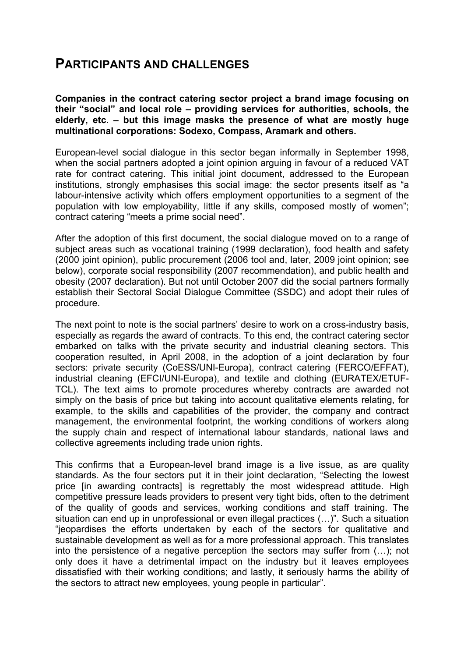## **PARTICIPANTS AND CHALLENGES**

**Companies in the contract catering sector project a brand image focusing on their "social" and local role – providing services for authorities, schools, the elderly, etc. – but this image masks the presence of what are mostly huge multinational corporations: Sodexo, Compass, Aramark and others.** 

European-level social dialogue in this sector began informally in September 1998, when the social partners adopted a joint opinion arguing in favour of a reduced VAT rate for contract catering. This initial joint document, addressed to the European institutions, strongly emphasises this social image: the sector presents itself as "a labour-intensive activity which offers employment opportunities to a segment of the population with low employability, little if any skills, composed mostly of women"; contract catering "meets a prime social need".

After the adoption of this first document, the social dialogue moved on to a range of subject areas such as vocational training (1999 declaration), food health and safety (2000 joint opinion), public procurement (2006 tool and, later, 2009 joint opinion; see below), corporate social responsibility (2007 recommendation), and public health and obesity (2007 declaration). But not until October 2007 did the social partners formally establish their Sectoral Social Dialogue Committee (SSDC) and adopt their rules of procedure.

The next point to note is the social partners' desire to work on a cross-industry basis, especially as regards the award of contracts. To this end, the contract catering sector embarked on talks with the private security and industrial cleaning sectors. This cooperation resulted, in April 2008, in the adoption of a joint declaration by four sectors: private security (CoESS/UNI-Europa), contract catering (FERCO/EFFAT), industrial cleaning (EFCI/UNI-Europa), and textile and clothing (EURATEX/ETUF-TCL). The text aims to promote procedures whereby contracts are awarded not simply on the basis of price but taking into account qualitative elements relating, for example, to the skills and capabilities of the provider, the company and contract management, the environmental footprint, the working conditions of workers along the supply chain and respect of international labour standards, national laws and collective agreements including trade union rights.

This confirms that a European-level brand image is a live issue, as are quality standards. As the four sectors put it in their joint declaration, "Selecting the lowest price [in awarding contracts] is regrettably the most widespread attitude. High competitive pressure leads providers to present very tight bids, often to the detriment of the quality of goods and services, working conditions and staff training. The situation can end up in unprofessional or even illegal practices (…)". Such a situation "jeopardises the efforts undertaken by each of the sectors for qualitative and sustainable development as well as for a more professional approach. This translates into the persistence of a negative perception the sectors may suffer from (…); not only does it have a detrimental impact on the industry but it leaves employees dissatisfied with their working conditions; and lastly, it seriously harms the ability of the sectors to attract new employees, young people in particular".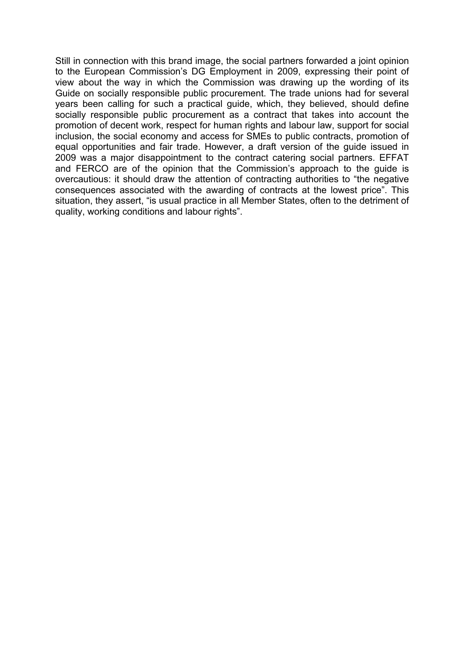Still in connection with this brand image, the social partners forwarded a joint opinion to the European Commission's DG Employment in 2009, expressing their point of view about the way in which the Commission was drawing up the wording of its Guide on socially responsible public procurement. The trade unions had for several years been calling for such a practical guide, which, they believed, should define socially responsible public procurement as a contract that takes into account the promotion of decent work, respect for human rights and labour law, support for social inclusion, the social economy and access for SMEs to public contracts, promotion of equal opportunities and fair trade. However, a draft version of the guide issued in 2009 was a major disappointment to the contract catering social partners. EFFAT and FERCO are of the opinion that the Commission's approach to the guide is overcautious: it should draw the attention of contracting authorities to "the negative consequences associated with the awarding of contracts at the lowest price". This situation, they assert, "is usual practice in all Member States, often to the detriment of quality, working conditions and labour rights".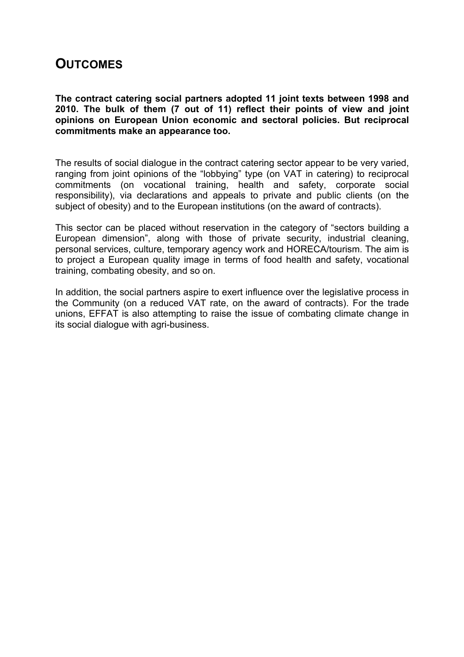## **OUTCOMES**

**The contract catering social partners adopted 11 joint texts between 1998 and 2010. The bulk of them (7 out of 11) reflect their points of view and joint opinions on European Union economic and sectoral policies. But reciprocal commitments make an appearance too.**

The results of social dialogue in the contract catering sector appear to be very varied, ranging from joint opinions of the "lobbying" type (on VAT in catering) to reciprocal commitments (on vocational training, health and safety, corporate social responsibility), via declarations and appeals to private and public clients (on the subject of obesity) and to the European institutions (on the award of contracts).

This sector can be placed without reservation in the category of "sectors building a European dimension", along with those of private security, industrial cleaning, personal services, culture, temporary agency work and HORECA/tourism. The aim is to project a European quality image in terms of food health and safety, vocational training, combating obesity, and so on.

In addition, the social partners aspire to exert influence over the legislative process in the Community (on a reduced VAT rate, on the award of contracts). For the trade unions, EFFAT is also attempting to raise the issue of combating climate change in its social dialogue with agri-business.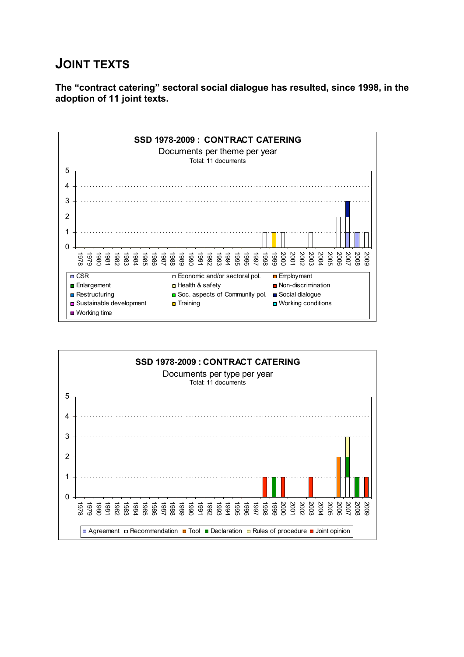# **JOINT TEXTS**

**The "contract catering" sectoral social dialogue has resulted, since 1998, in the adoption of 11 joint texts.**